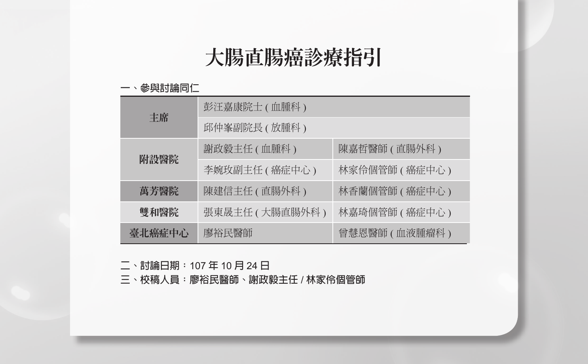# 大腸直腸癌診療指引

#### **一、參與討論同仁**

|                          | 彭汪嘉康院士 (血腫科)    |                 |  |  |  |
|--------------------------|-----------------|-----------------|--|--|--|
| 丰席                       | 邱仲峯副院長 ( 放腫科 )  |                 |  |  |  |
| 附設醫院                     | 謝政毅主任 (血腫科)     | 陳嘉哲醫師 ( 直腸外科 )  |  |  |  |
|                          | 李婉玫副主任 ( 癌症中心 ) | 林家伶個管師 ( 癌症中心 ) |  |  |  |
| 萬芳醫院                     | 陳建信主任 ( 直腸外科 )  | 林香蘭個管師 (癌症中心)   |  |  |  |
| 雙和醫院<br>張東晟主任 ( 大腸直腸外科 ) |                 | 林嘉琦個管師 ( 癌症中心 ) |  |  |  |
| 臺北癌症中心                   | 廖裕民醫師           | 曾慧恩醫師 ( 血液腫瘤科 ) |  |  |  |

**二、討論日期:**107 **年** 10 **月** 24 **日**

**三、校稿人員:廖裕民醫師、謝政毅主任** / **林家伶個管師**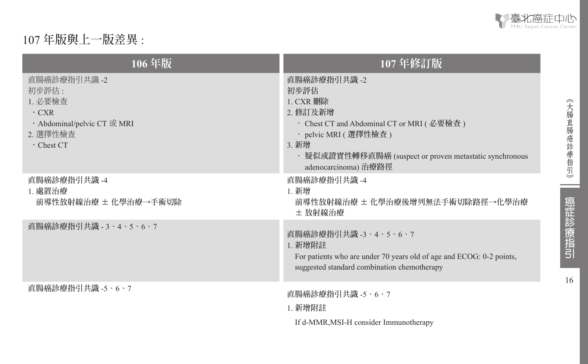

16

《大腸直腸癌診療指引》

ـ

癌症診療指引

# 107 **年版與上一版差異** :

| 106年版                                                                                                           | 107年修訂版                                                                                                                                                                                                             |
|-----------------------------------------------------------------------------------------------------------------|---------------------------------------------------------------------------------------------------------------------------------------------------------------------------------------------------------------------|
| 直腸癌診療指引共識 -2<br>初步評估 :<br>1. 必要檢查<br>$\cdot$ CXR<br>· Abdominal/pelvic CT 或 MRI<br>2. 選擇性檢查<br>$\cdot$ Chest CT | 直腸癌診療指引共識 -2<br>初步評估<br>$1.$ CXR 删除<br>2. 修訂及新增<br>・ Chest CT and Abdominal CT or MRI ( 必要檢査 )<br>・pelvic MRI ( 選擇性檢查 )<br>3. 新增<br>• 疑似或證實性轉移直腸癌 (suspect or proven metastatic synchronous<br>adenocarcinoma) 治療路徑 |
| 直腸癌診療指引共識 -4<br>1. 處置治療<br>前導性放射線治療 ± 化學治療→手術切除                                                                 | 直腸癌診療指引共識 -4<br>1. 新增<br>前導性放射線治療 ± 化學治療後增列無法手術切除路徑→化學治療<br>± 放射線治療                                                                                                                                                 |
| 直腸癌診療指引共識 - 3、4、5、6、7                                                                                           | 直腸癌診療指引共識 -3、4、5、6、7<br>1. 新增附註<br>For patients who are under 70 years old of age and ECOG: 0-2 points,<br>suggested standard combination chemotherapy                                                              |
| 直腸癌診療指引共識 -5、6、7                                                                                                | 直腸癌診療指引共識 -5、6、7<br><b>1. 新增附註</b><br>If d-MMR, MSI-H consider Immunotherapy                                                                                                                                        |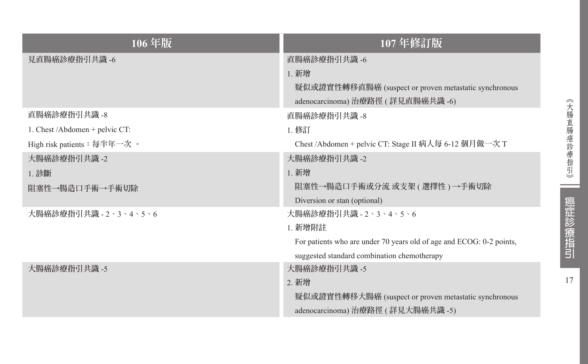| 106年版                          | 107年修訂版                                                                                                            |
|--------------------------------|--------------------------------------------------------------------------------------------------------------------|
| 見直腸癌診療指引共識 -6                  | 直腸癌診療指引共識 -6<br>1. 新增<br>疑似或證實性轉移直腸癌 (suspect or proven metastatic synchronous<br>adenocarcinoma) 治療路徑 (詳見直腸癌共識-6) |
| 直腸癌診療指引共識 -8                   | 直腸癌診療指引共識 -8                                                                                                       |
| 1. Chest /Abdomen + pelvic CT: | 1. 修訂                                                                                                              |
| High risk patients: 每半年一次。     | Chest /Abdomen + pelvic CT: Stage II 病人每 6-12 個月做一次 T                                                              |
| 大腸癌診療指引共識 -2                   | 大腸癌診療指引共識 -2                                                                                                       |
| 1. 診斷                          | 1. 新增                                                                                                              |
| 阻塞性→腸造口手術→手術切除                 | 阻塞性→腸造口手術或分流 或支架 ( 選擇性 ) →手術切除<br>Diversion or stan (optional)                                                     |
| 大腸癌診療指引共識 - 2、3、4、5、6          | 大腸癌診療指引共識 - 2、3、4、5、6                                                                                              |
|                                | <b>1. 新增附註</b>                                                                                                     |
|                                | For patients who are under 70 years old of age and ECOG: 0-2 points,                                               |
|                                | suggested standard combination chemotherapy                                                                        |
| 大腸癌診療指引共識 -5                   | 大腸癌診療指引共識 -5                                                                                                       |
|                                | 2. 新增                                                                                                              |
|                                | 疑似或證實性轉移大腸癌 (suspect or proven metastatic synchronous                                                              |
|                                | adenocarcinoma) 治療路徑 (詳見大腸癌共識 -5)                                                                                  |

17

癌症診療指引

《大腸直腸癌診療指引》

**Contract**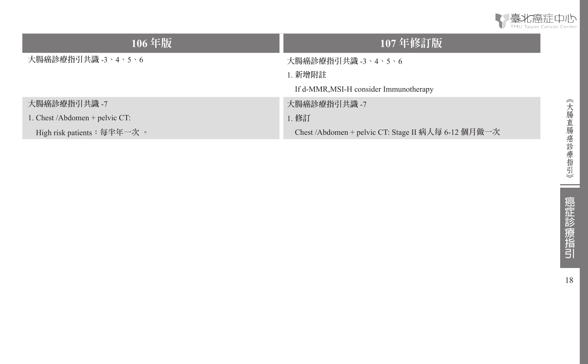

| 106年版                             | $107$ 年修訂版                                          |
|-----------------------------------|-----------------------------------------------------|
| 大腸癌診療指引共識 -3、4、5、6                | 大腸癌診療指引共識 -3、4、5、6                                  |
|                                   | 1. 新增附註                                             |
|                                   | If d-MMR, MSI-H consider Immunotherapy              |
| 大腸癌診療指引共識 -7                      | 大腸癌診療指引共識 -7                                        |
| 1. Chest /Abdomen + pelvic $CT$ : | 1. 修訂                                               |
| High risk patients: 每半年一次。        | Chest /Abdomen + pelvic CT: Stage II 病人每 6-12 個月做一次 |

 $\sim$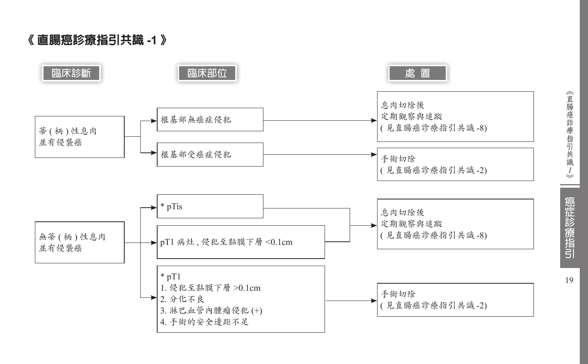《 直腸癌診療指引共識 **-1**  》

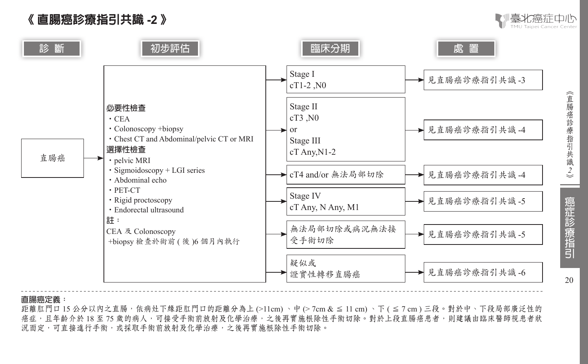# 《 直腸癌診療指引共識 **-2** 》



識 *2*

20

癌症診療指引



#### **直腸癌定義:**

距離肛門口 15 公分以内之直腸,依病灶下緣距肛門口的距離分為上 (>11cm)、中 (> 7cm & ≤ 11 cm)、下 ( ≤ 7 cm) 三段。對於中、下段局部廣泛性的 癌症,且年齡介於 18 至 75 歲的病人,可接受手術前放射及化學治療,之後再實施根除性手術切除。對於上段直腸癌患者,則建議由臨床醫師視患者狀 況而定,可直接進行手術,或採取手術前放射及化學治療,之後再實施根除性手術切除。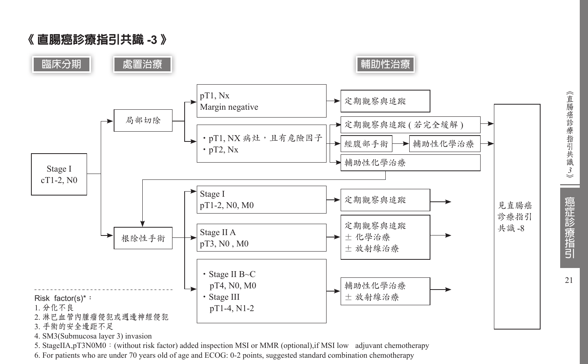《 直腸癌診療指引共識 **-3** 》





4. SM3(Submucosa layer 3) invasion

5. StageIIA,pT3N0M0:(without risk factor) added inspection MSI or MMR (optional),if MSI low adjuvant chemotherapy

6. For patients who are under 70 years old of age and ECOG: 0-2 points, suggested standard combination chemotherapy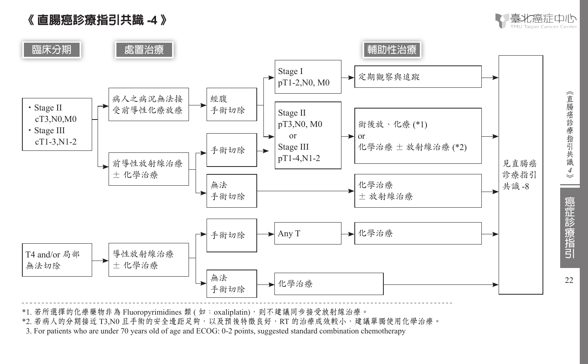



《直腸癌診療指引共識

*4*

癌症診療指引

22



\*1. 若所選擇的化療藥物非為 Fluoropyrimidines 類 ( 如: oxaliplatin), 則不建議同步接受放射線治療。

\*2. 若病人的分期接近 T3,N0 且手術的安全邊距足夠,以及預後特徵良好,RT 的治療成效較小,建議單獨使用化學治療。

\*3. For patients who are under 70 years old of age and ECOG: 0-2 points, suggested standard combination chemotherapy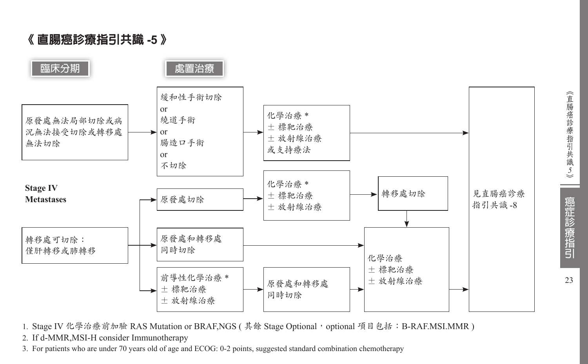《 直腸癌診療指引共識 **-5** 》



1. Stage IV 化學治療前加驗 RAS Mutation or BRAF,NGS ( 其餘 Stage Optional, optional 項目包括: B-RAF.MSI.MMR )

2. If d-MMR,MSI-H consider Immunotherapy

3. For patients who are under 70 years old of age and ECOG: 0-2 points, suggested standard combination chemotherapy

識 *5*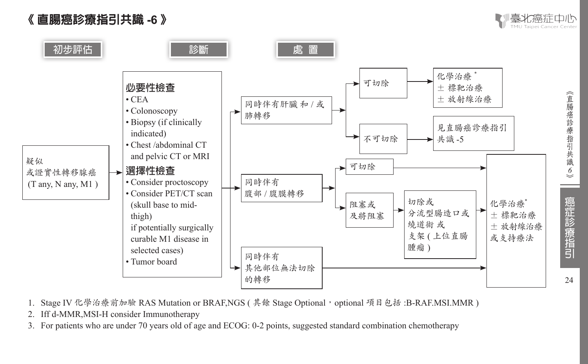





- 1. Stage IV 化學治療前加驗 RAS Mutation or BRAF, NGS ( 其餘 Stage Optional, optional 項目包括 :B-RAF.MSI.MMR )
- 2. Iff d-MMR,MSI-H consider Immunotherapy
- 3. For patients who are under 70 years old of age and ECOG: 0-2 points, suggested standard combination chemotherapy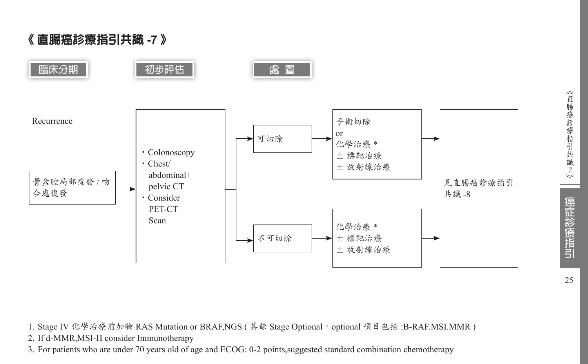《 直腸癌診療指引共識 **-7** 》



1. Stage IV 化學治療前加驗 RAS Mutation or BRAF,NGS ( 其餘 Stage Optional, optional 項目包括 :B-RAF.MSI.MMR )

2. If d-MMR,MSI-H consider Immunotherapy

3. For patients who are under 70 years old of age and ECOG: 0-2 points,suggested standard combination chemotherapy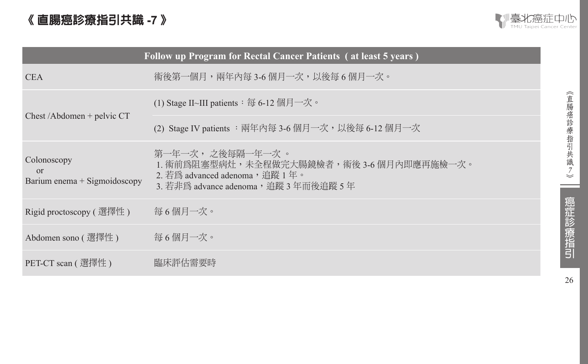# 《 直腸癌診療指引共識 **-7** 》



| Follow up Program for Rectal Cancer Patients (at least 5 years) |                                                                                                                                            |  |  |  |  |
|-----------------------------------------------------------------|--------------------------------------------------------------------------------------------------------------------------------------------|--|--|--|--|
| <b>CEA</b>                                                      | 術後第一個月,兩年內每 3-6 個月一次,以後每 6 個月一次。                                                                                                           |  |  |  |  |
|                                                                 | (1) Stage II~III patients $:$ 每 6-12 個月一次。                                                                                                 |  |  |  |  |
| $Check / Abdomen + pelvic CT$                                   | (2) Stage IV patients : 兩年內每 3-6 個月一次, 以後每 6-12 個月一次                                                                                       |  |  |  |  |
| Colonoscopy<br><sub>or</sub><br>Barium enema $+$ Sigmoidoscopy  | 第一年一次, 之後每隔一年一次 。<br>1. 術前為阻塞型病灶,未全程做完大腸鏡檢者,術後 3-6 個月內即應再施檢一次。<br>2. 若爲 advanced adenoma, 追蹤 1 年。<br>3. 若非爲 advance adenoma,追蹤 3 年而後追蹤 5 年 |  |  |  |  |
| Rigid proctoscopy ( 選擇性 )                                       | 每6個月一次。                                                                                                                                    |  |  |  |  |
| Abdomen sono (選擇性)                                              | 每6個月一次。                                                                                                                                    |  |  |  |  |
| PET-CT scan ( 選擇性 )                                             | 臨床評估需要時                                                                                                                                    |  |  |  |  |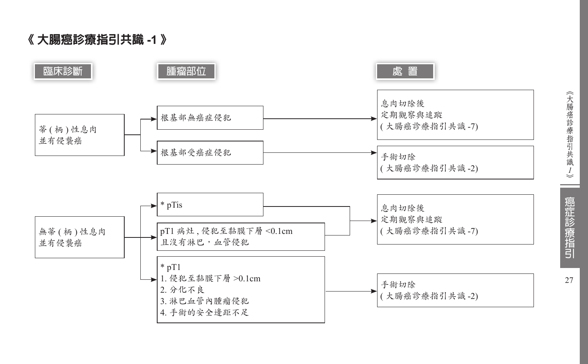《 大腸癌診療指引共識 **-1**  》

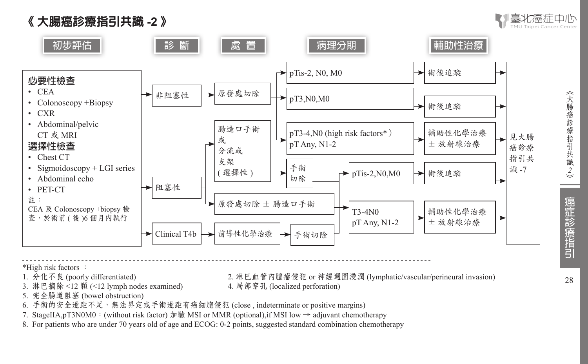



2. 淋巴血管內腫瘤侵犯 or 神經週圍浸潤 (lymphatic/vascular/perineural invasion)

- \*High risk factors :<br>1. 分化不良 (poorly differentiated)
- 3. 淋巴摘除<12 顆 (<12 lymph nodes examined) 4. 局部穿孔 (localized perforation)
- 5. 完全腸道阻塞 (bowel obstruction)
- 6. 手術的安全邊距不足、無法界定或手術邊距有癌細胞侵犯 (close , indeterminate or positive margins)
- 7. StageIIA,pT3N0M0:(without risk factor) 加驗 MSI or MMR (optional),if MSI low → adjuvant chemotherapy
- 8. For patients who are under 70 years old of age and ECOG: 0-2 points, suggested standard combination chemotherapy

識 *2*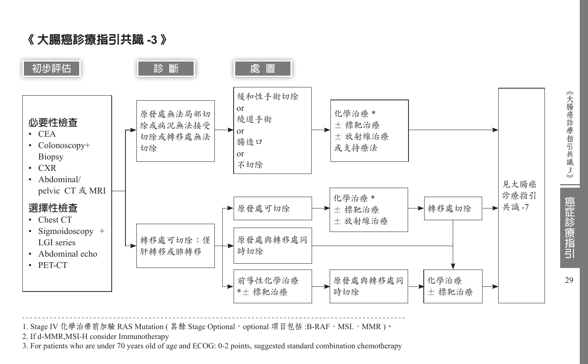《 大腸癌診療指引共識 **-3** 》



1. Stage IV 化學治療前加驗 RAS Mutation ( 其餘 Stage Optional, optional 項目包括:B-RAF、MSI.、MMR)。

2. If d-MMR,MSI-H consider Immunotherapy

3. For patients who are under 70 years old of age and ECOG: 0-2 points, suggested standard combination chemotherapy

識 *3*癌症診療指引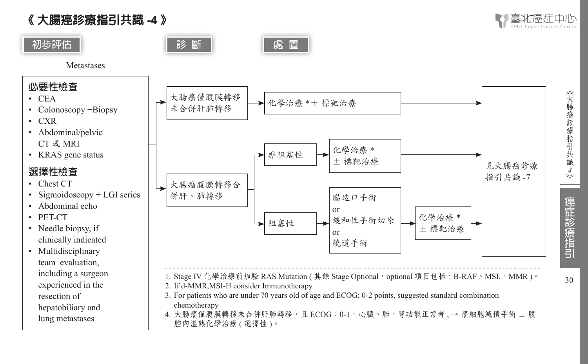《 大腸癌診療指引共識 **-4** 》

lung metastases



《大腸癌診療指引共識

*4*

30

癌症診療指引



4. 大腸癌僅腹膜轉移未合併肝肺轉移,且 ECOG:0-1,心臟、肺、腎功能正常者,→ 癌細胞減積手術 ± 腹 腔內溫熱化學治療 (選擇性)。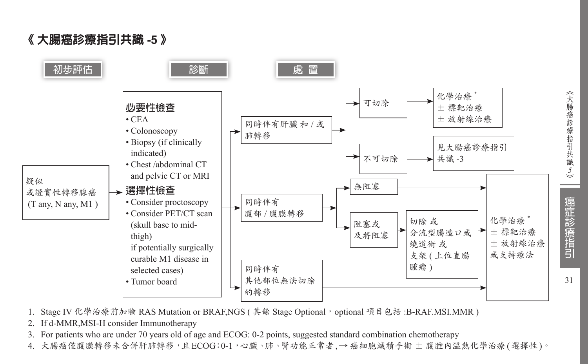《 大腸癌診療指引共識 **-5** 》



- 1. Stage IV 化學治療前加驗 RAS Mutation or BRAF, NGS ( 其餘 Stage Optional, optional 項目包括: B-RAF.MSI.MMR )
- 2. If d-MMR,MSI-H consider Immunotherapy
- 3. For patients who are under 70 years old of age and ECOG: 0-2 points, suggested standard combination chemotherapy
- 4. 大腸癌僅腹膜轉移未合併肝肺轉移,且ECOG:0-1,心臟、肺、腎功能正常者,→ 癌細胞減積手術 ± 腹腔內溫熱化學治療(選擇性)。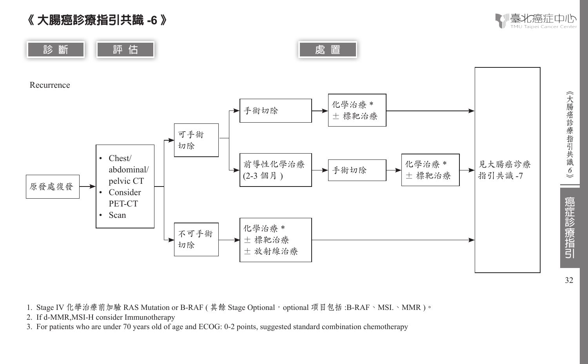





1. Stage IV 化學治療前加驗 RAS Mutation or B-RAF ( 其餘 Stage Optional, optional 項目包括 :B-RAF、MSI.、MMR)。

2. If d-MMR,MSI-H consider Immunotherapy

3. For patients who are under 70 years old of age and ECOG: 0-2 points, suggested standard combination chemotherapy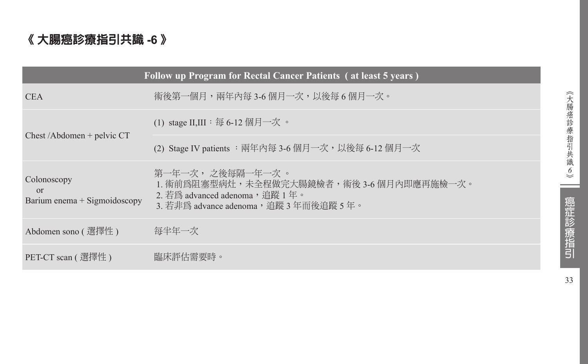# 《 大腸癌診療指引共識 **-6** 》

|                                                           | Follow up Program for Rectal Cancer Patients (at least 5 years)                                                                            |
|-----------------------------------------------------------|--------------------------------------------------------------------------------------------------------------------------------------------|
| <b>CEA</b>                                                | 術後第一個月,兩年內每 3-6 個月一次,以後每 6 個月一次。                                                                                                           |
|                                                           | (1) stage II,III : 每 6-12 個月一次。                                                                                                            |
| Chest/Abdomen + pelvic $CT$                               | (2) Stage IV patients :兩年內每 3-6 個月一次,以後每 6-12 個月一次                                                                                         |
| Colonoscopy<br>$\Omega$<br>Barium enema $+$ Sigmoidoscopy | 第一年一次, 之後每隔一年一次 。<br>1. 術前爲阻塞型病灶,未全程做完大腸鏡檢者,術後 3-6 個月內即應再施檢一次。<br>2. 若爲 advanced adenoma, 追蹤 1年。<br>3. 若非為 advance adenoma,追蹤 3 年而後追蹤 5 年。 |
| Abdomen sono ( 選擇性 )                                      | 每半年一次                                                                                                                                      |
| PET-CT scan ( 選擇性 )                                       | 臨床評估需要時。                                                                                                                                   |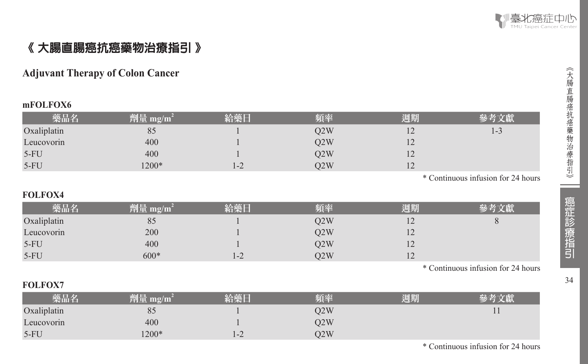

# 《 大腸直腸癌抗癌藥物治療指引 》

# **Adjuvant Therapy of Colon Cancer**

#### **mFOLFOX6**

| 藥品名         | 劑量 mg/m $^{\rm 2}$ | 給藥日  | 頻率  | 週期             | 參考文獻 |
|-------------|--------------------|------|-----|----------------|------|
| Oxaliplatin | 85                 |      | O2W | $\overline{1}$ | 1-3  |
| Leucovorin  | 400                |      | O2W | $\overline{1}$ |      |
| $5-FU$      | 400                |      | 02W | $\overline{1}$ |      |
| $5-FU$      | $1200*$            | $-2$ | O2W | $\overline{1}$ |      |

\* Continuous infusion for 24 hours

#### **FOLFOX4**

| 藥品名         | 劑量 mg/m <sup>2</sup> | 給藥日 | 頻率  | 週期             |  |
|-------------|----------------------|-----|-----|----------------|--|
| Oxaliplatin | 85                   |     | O2W | $\overline{1}$ |  |
| Leucovorin  | 200                  |     | O2W | $\overline{1}$ |  |
| $5-FU$      | 400                  |     | O2W | $\overline{1}$ |  |
| $5-FU$      | $600*$               | 1-2 | O2W | $\overline{1}$ |  |

\* Continuous infusion for 24 hours

#### **FOLFOX7**

| 藥品名         | 劑量 mg/m $^2$ | 給藥日     | 頻率  | 週期 |  |
|-------------|--------------|---------|-----|----|--|
| Oxaliplatin | 83           |         | O2W |    |  |
| Leucovorin  | 400          |         | O2W |    |  |
| $5-FU$      | $1200*$      | $1 - 2$ | O2W |    |  |

《大腸直腸癌抗癌藥物治療指引》 34︽大腸直腸癌抗癌藥物治療指引︾

34

\* Continuous infusion for 24 hours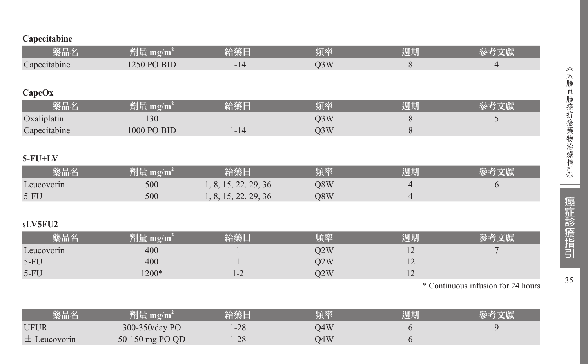# **Capecitabine**

| 藥品名           | 劑量 mg/m <sup>2</sup> | 給藥日                  | 頻率               | 週期             | 參考文獻                               |
|---------------|----------------------|----------------------|------------------|----------------|------------------------------------|
| Capecitabine  | 1250 PO BID          | $1 - 14$             | Q <sub>3</sub> W | 8              | $\overline{4}$                     |
|               |                      |                      |                  |                |                                    |
| CapeOx        |                      |                      |                  |                |                                    |
| 藥品名           | 劑量 mg/m <sup>2</sup> | 給藥日                  | 頻率               | 週期             | 參考文獻                               |
| Oxaliplatin   | 130                  |                      | Q3W              | 8              | 5                                  |
| Capecitabine  | 1000 PO BID          | $1 - 14$             | Q <sub>3</sub> W | 8              |                                    |
|               |                      |                      |                  |                |                                    |
| $5$ - $FU+LV$ |                      |                      |                  |                |                                    |
| 藥品名           | 劑量 mg/m <sup>2</sup> | 給藥日                  | 頻率               | 週期             | 參考文獻                               |
| Leucovorin    | 500                  | 1, 8, 15, 22, 29, 36 | Q8W              | 4              | 6                                  |
| $5-FU$        | 500                  | 1, 8, 15, 22, 29, 36 | Q8W              | $\overline{4}$ |                                    |
|               |                      |                      |                  |                |                                    |
| sLV5FU2       |                      |                      |                  |                |                                    |
| 藥品名           | 劑量 $mg/m^2$          | 給藥日                  | 頻率               | 週期             | 參考文獻                               |
| Leucovorin    | 400                  |                      | Q2W              | 12             |                                    |
| $5-FU$        | 400                  |                      | Q <sub>2</sub> W | 12             |                                    |
| $5-FU$        | 1200*                | $1 - 2$              | Q2W              | 12             |                                    |
|               |                      |                      |                  |                | * Continuous infusion for 24 hours |

| 藥品名              | $^2$ 劑量 mg/m <sup>2</sup> | 給藥日 | 斯率  | 週期 |  |
|------------------|---------------------------|-----|-----|----|--|
| <b>UFUR</b>      | 300-350/day PO            | -28 | )4W |    |  |
| $\pm$ Leucovorin | 50-150 mg PO QD           | -28 | )4W |    |  |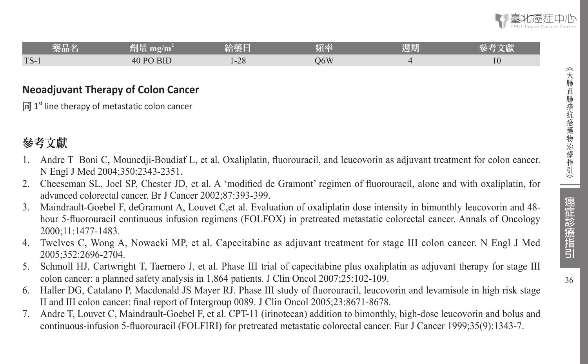36

| _____<br>樂品名 | <b>Market</b><br>al Br<br>$m\overline{g}/m$<br>בעונים | ____<br>经承围        | 頃密  | 週期 | -64<br>こだい |
|--------------|-------------------------------------------------------|--------------------|-----|----|------------|
| $TS-1$       | <b>BID</b><br>$\Delta$ DO<br>40                       | $\bigcap$<br>$-20$ | O6W |    | 40         |

## **Neoadjuvant Therapy of Colon Cancer**

同  $1<sup>st</sup>$  line therapy of metastatic colon cancer

# 參考文獻

- Andre T Boni C, Mounedji-Boudiaf L, et al. Oxaliplatin, fluorouracil, and leucovorin as adjuvant treatment for colon cancer. N Engl J Med 2004;350:2343-2351.
- 2. Cheeseman SL, Joel SP, Chester JD, et al. A 'modified de Gramont' regimen of fluorouracil, alone and with oxaliplatin, for advanced colorectal cancer. Br J Cancer 2002;87:393-399.
- 3. Maindrault-Goebel F, deGramont A, Louvet C,et al. Evaluation of oxaliplatin dose intensity in bimonthly leucovorin and 48 hour 5-fluorouracil continuous infusion regimens (FOLFOX) in pretreated metastatic colorectal cancer. Annals of Oncology 2000;11:1477-1483.
- 4. Twelves C, Wong A, Nowacki MP, et al. Capecitabine as adjuvant treatment for stage III colon cancer. N Engl J Med 2005;352:2696-2704.
- 5. Schmoll HJ, Cartwright T, Taernero J, et al. Phase III trial of capecitabine plus oxaliplatin as adjuvant therapy for stage III colon cancer: a planned safety analysis in 1,864 patients. J Clin Oncol 2007;25:102-109.
- 6. Haller DG, Catalano P, Macdonald JS Mayer RJ. Phase III study of fluorouracil, leucovorin and levamisole in high risk stage II and III colon cancer: final report of Intergroup 0089. J Clin Oncol 2005;23:8671-8678.
- 7. Andre T, Louvet C, Maindrault-Goebel F, et al. CPT-11 (irinotecan) addition to bimonthly, high-dose leucovorin and bolus and continuous-infusion 5-fluorouracil (FOLFIRI) for pretreated metastatic colorectal cancer. Eur J Cancer 1999;35(9):1343-7.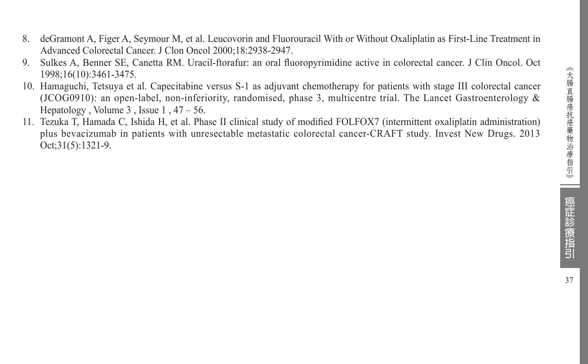- 8. deGramont A, Figer A, Seymour M, et al. Leucovorin and Fluorouracil With or Without Oxaliplatin as First-Line Treatment in Advanced Colorectal Cancer. J Clon Oncol 2000;18:2938-2947.
- 9. Sulkes A, Benner SE, Canetta RM. Uracil-ftorafur: an oral fluoropyrimidine active in colorectal cancer. J Clin Oncol. Oct 1998;16(10):3461-3475.
- 10. Hamaguchi, Tetsuya et al. Capecitabine versus S-1 as adjuvant chemotherapy for patients with stage III colorectal cancer (JCOG0910): an open-label, non-inferiority, randomised, phase 3, multicentre trial. The Lancet Gastroenterology & Hepatology , Volume  $3$ , Issue  $1, 47 - 56$ .
- 11. Tezuka T, Hamada C, Ishida H, et al. Phase II clinical study of modified FOLFOX7 (intermittent oxaliplatin administration) plus bevacizumab in patients with unresectable metastatic colorectal cancer-CRAFT study. Invest New Drugs. 2013 Oct;31(5):1321-9.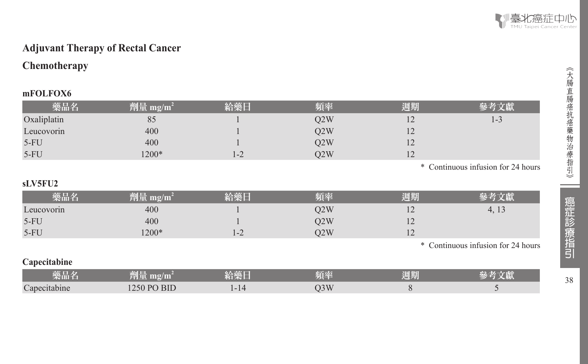

# **Adjuvant Therapy of Rectal Cancer**

# **Chemotherapy**

#### **mFOLFOX6**

| 藥品名         | 劑量 mg/m <sup>2</sup> | 給藥日 | 頻率  | 週期 |                                    |
|-------------|----------------------|-----|-----|----|------------------------------------|
| Oxaliplatin | 85                   |     | Q2W |    | 1-3                                |
| Leucovorin  | 400                  |     | O2W | 12 |                                    |
| $5-FU$      | 400                  |     | Q2W |    |                                    |
| $5-FU$      | 1200*                | 1-2 | O2W | 12 |                                    |
|             |                      |     |     |    | * Continuous infusion for 24 hours |

# **sLV5FU2**

| 藥品彳        | 劑量 mg/m $^2$ | 给藥日  | 頃率  | 週期             |                                    |
|------------|--------------|------|-----|----------------|------------------------------------|
| Leucovorin | 400          |      | D2W | $\overline{1}$ | 4, 13                              |
| 5-FU       | 400          |      | Q2W | - ⊥            |                                    |
| $5-FU$     | $200*$       | $-2$ | 22W | - ⊥            |                                    |
|            |              |      |     |                | * Continuous infusion for 24 hours |

#### **Capecitabine**

| _____<br>榮而名           | 'mg/m<br>тeц.                 | <b>ALCOHOL: YES</b><br>- -<br><b>STATISTICS</b> | 百卒<br>____ | 週期 | $-1111$ |
|------------------------|-------------------------------|-------------------------------------------------|------------|----|---------|
| $\sim$<br>Capecitabine | <b>BID</b><br>$D\cap$<br>250. | $-14$                                           | 3W<br>◡◡   |    |         |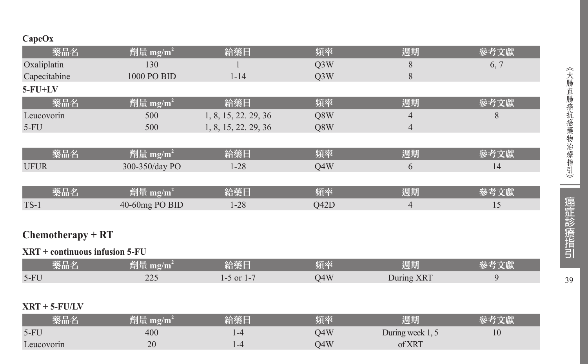# **CapeOx**

| 藥品名                              | 劑量 mg/m <sup>2</sup> | 給藥日                  | 頻率               | 週期             | 參考文獻 |
|----------------------------------|----------------------|----------------------|------------------|----------------|------|
| Oxaliplatin                      | 130                  |                      | Q <sub>3</sub> W | 8              | 6, 7 |
| Capecitabine                     | 1000 PO BID          | $1 - 14$             | Q <sub>3</sub> W | 8              |      |
| $5$ - $FU+LV$                    |                      |                      |                  |                |      |
| 藥品名                              | 劑量 mg/m <sup>2</sup> | 給藥日                  | 頻率               | 週期             | 參考文獻 |
| Leucovorin                       | 500                  | 1, 8, 15, 22. 29, 36 | Q8W              | 4              | 8    |
| $5-FU$                           | 500                  | 1, 8, 15, 22, 29, 36 | Q8W              | $\overline{4}$ |      |
|                                  |                      |                      |                  |                |      |
| 藥品名                              | 劑量 mg/m <sup>2</sup> | 給藥日                  | 頻率               | 週期             | 參考文獻 |
| <b>UFUR</b>                      | 300-350/day PO       | $1 - 28$             | Q4W              | 6              | 14   |
|                                  |                      |                      |                  |                |      |
| 藥品名                              | 劑量 mg/m <sup>2</sup> | 給藥日                  | 頻率               | 週期             | 參考文獻 |
| $TS-1$                           | 40-60mg PO BID       | $1 - 28$             | Q42D             | $\overline{4}$ | 15   |
|                                  |                      |                      |                  |                |      |
| $Chemotherapy + RT$              |                      |                      |                  |                |      |
| $XRT$ + continuous infusion 5-FU |                      |                      |                  |                |      |
| 藥品名                              | 劑量 mg/m <sup>2</sup> | 給藥日                  | 頻率               | 週期             | 參考文獻 |
| $5-FU$                           | 225                  | $1-5$ or $1-7$       | Q4W              | During XRT     | 9    |
|                                  |                      |                      |                  |                |      |
|                                  |                      |                      |                  |                |      |

# **XRT + 5-FU/LV**

| 藥品名        | 賀重 mg/m' | 宿哭口          | 頻率  | 週期               |                |
|------------|----------|--------------|-----|------------------|----------------|
| $5-FU$     | 400      | $1 - 4$      | )4W | During week 1, 5 | 1 <sub>U</sub> |
| Leucovorin | 20       | $1 - \alpha$ | )4W | of XRT           |                |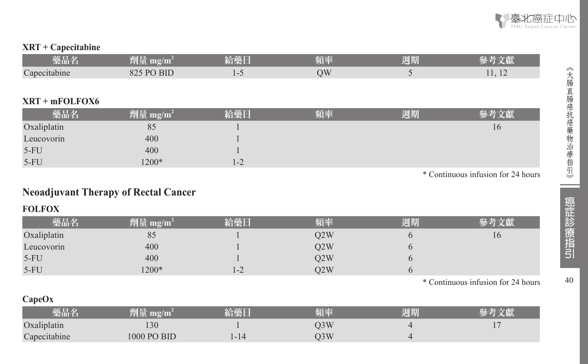

#### **XRT + Capecitabine**

| <br>藥品名                    | al F<br>劉市<br>mg/m                             | an m<br>AMIN'T | 頂率 | <b>September</b><br>週期 |                          |
|----------------------------|------------------------------------------------|----------------|----|------------------------|--------------------------|
| $\sqrt{ }$<br>Capecitabine | <b>BIL</b><br>$\circ$<br>D <sub>(</sub><br>٥Z. |                | VC |                        | $\overline{\phantom{0}}$ |

## **XRT + mFOLFOX6**

| 藥品名         | 劑量 mg/m <sup>2</sup> | 給藥日     | 頻率 | 週期 | 參考文獻 |
|-------------|----------------------|---------|----|----|------|
| Oxaliplatin | 85                   |         |    |    | 16   |
| Leucovorin  | 400                  |         |    |    |      |
| $5-FU$      | 400                  |         |    |    |      |
| $5-FU$      | $1200*$              | $1 - 2$ |    |    |      |

\* Continuous infusion for 24 hours

# **Neoadjuvant Therapy of Rectal Cancer**

# **FOLFOX**

| 藥品名         | 劑量 mg/m <sup>2</sup> | 給藥日               | 頻率  | 週期 |    |
|-------------|----------------------|-------------------|-----|----|----|
| Oxaliplatin | 85                   |                   | O2W |    | 16 |
| Leucovorin  | 400                  |                   | O2W |    |    |
| $5-FU$      | 400                  |                   | O2W |    |    |
| $5-FU$      | $1200*$              | $\bigcap$<br>$-2$ | O2W |    |    |

\* Continuous infusion for 24 hours

### **CapeOx**

| 藥品名          | 劑量 mg/m1    | 給藥日  | 頻率  | 週期 |  |
|--------------|-------------|------|-----|----|--|
| Oxaliplatin  | 30          |      | )3W |    |  |
| Capecitabine | 1000 PO BID | .-14 | )3W |    |  |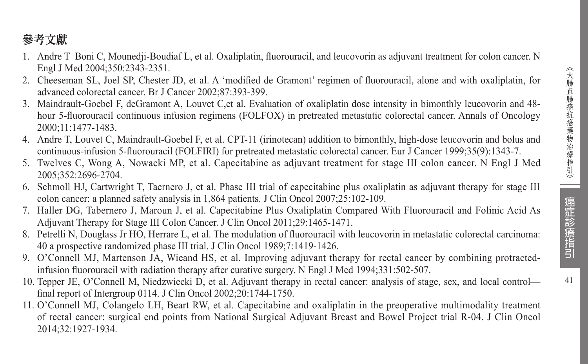- 1. Andre T Boni C, Mounedji-Boudiaf L, et al. Oxaliplatin, fluorouracil, and leucovorin as adjuvant treatment for colon cancer. N Engl J Med 2004;350:2343-2351.
- 2. Cheeseman SL, Joel SP, Chester JD, et al. A 'modified de Gramont' regimen of fluorouracil, alone and with oxaliplatin, for advanced colorectal cancer. Br J Cancer 2002;87:393-399.
- 3. Maindrault-Goebel F, deGramont A, Louvet C,et al. Evaluation of oxaliplatin dose intensity in bimonthly leucovorin and 48 hour 5-fluorouracil continuous infusion regimens (FOLFOX) in pretreated metastatic colorectal cancer. Annals of Oncology 2000;11:1477-1483.
- 4. Andre T, Louvet C, Maindrault-Goebel F, et al. CPT-11 (irinotecan) addition to bimonthly, high-dose leucovorin and bolus and continuous-infusion 5-fluorouracil (FOLFIRI) for pretreated metastatic colorectal cancer. Eur J Cancer 1999;35(9):1343-7.
- 5. Twelves C, Wong A, Nowacki MP, et al. Capecitabine as adjuvant treatment for stage III colon cancer. N Engl J Med 2005;352:2696-2704.
- 6. Schmoll HJ, Cartwright T, Taernero J, et al. Phase III trial of capecitabine plus oxaliplatin as adjuvant therapy for stage III colon cancer: a planned safety analysis in 1,864 patients. J Clin Oncol 2007;25:102-109.
- 7. Haller DG, Tabernero J, Maroun J, et al. Capecitabine Plus Oxaliplatin Compared With Fluorouracil and Folinic Acid As Adjuvant Therapy for Stage III Colon Cancer. J Clin Oncol 2011;29:1465-1471.
- 8. Petrelli N, Douglass Jr HO, Herrare L, et al. The modulation of fluorouracil with leucovorin in metastatic colorectal carcinoma: 40 a prospective randomized phase III trial. J Clin Oncol 1989;7:1419-1426.
- 9. O'Connell MJ, Martenson JA, Wieand HS, et al. Improving adjuvant therapy for rectal cancer by combining protractedinfusion fluorouracil with radiation therapy after curative surgery. N Engl J Med 1994;331:502-507.
- 10. Tepper JE, O'Connell M, Niedzwiecki D, et al. Adjuvant therapy in rectal cancer: analysis of stage, sex, and local control final report of Intergroup 0114. J Clin Oncol 2002;20:1744-1750.
- 11. O'Connell MJ, Colangelo LH, Beart RW, et al. Capecitabine and oxaliplatin in the preoperative multimodality treatment of rectal cancer: surgical end points from National Surgical Adjuvant Breast and Bowel Project trial R-04. J Clin Oncol 2014;32:1927-1934.

癌症診療指引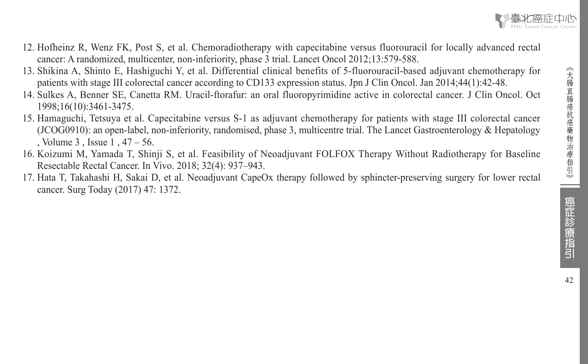- 12. Hofheinz R, Wenz FK, Post S, et al. Chemoradiotherapy with capecitabine versus fluorouracil for locally advanced rectal cancer: A randomized, multicenter, non-inferiority, phase 3 trial. Lancet Oncol 2012;13:579-588.
- 13. Shikina A, Shinto E, Hashiguchi Y, et al. Differential clinical benefits of 5-fluorouracil-based adjuvant chemotherapy for patients with stage III colorectal cancer according to CD133 expression status. Jpn J Clin Oncol. Jan 2014;44(1):42-48.
- 14. Sulkes A, Benner SE, Canetta RM. Uracil-ftorafur: an oral fluoropyrimidine active in colorectal cancer. J Clin Oncol. Oct 1998;16(10):3461-3475.
- 15. Hamaguchi, Tetsuya et al. Capecitabine versus S-1 as adjuvant chemotherapy for patients with stage III colorectal cancer (JCOG0910): an open-label, non-inferiority, randomised, phase 3, multicentre trial. The Lancet Gastroenterology & Hepatology , Volume 3 , Issue 1 , 47 – 56.
- 16. Koizumi M, Yamada T, Shinji S, et al. Feasibility of Neoadjuvant FOLFOX Therapy Without Radiotherapy for Baseline Resectable Rectal Cancer. In Vivo. 2018; 32(4): 937–943.
- 17. Hata T, Takahashi H, Sakai D, et al. Neoadjuvant CapeOx therapy followed by sphincter-preserving surgery for lower rectal cancer. Surg Today (2017) 47: 1372.

| 癌症診療指引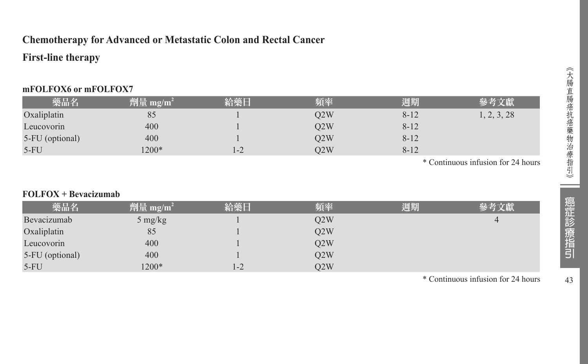# **Chemotherapy for Advanced or Metastatic Colon and Rectal Cancer**

# **First-line therapy**

### **mFOLFOX6 or mFOLFOX7**

| 藥品名             | 劑量 mg/m <sup>2</sup> | 給藥日 | 頻率  | 週期       | 參考文獻        |
|-----------------|----------------------|-----|-----|----------|-------------|
| Oxaliplatin     | 85                   |     | O2W | $8 - 12$ | 1, 2, 3, 28 |
| Leucovorin      | 400                  |     | O2W | $8 - 12$ |             |
| 5-FU (optional) | 400                  |     | O2W | $8 - 12$ |             |
| $5-FU$          | $1200*$              | 1-2 | O2W | $8 - 12$ |             |

\* Continuous infusion for 24 hours

#### **FOLFOX + Bevacizumab**

| 藥品名             | 劑量 mg/m <sup>2</sup>            | 給藥日   | 頻率  | 週期 | 參考文獻 |
|-----------------|---------------------------------|-------|-----|----|------|
| Bevacizumab     | $5 \frac{\text{mg}}{\text{kg}}$ |       | O2W |    | 4    |
| Oxaliplatin     | 85                              |       | O2W |    |      |
| Leucovorin      | 400                             |       | O2W |    |      |
| 5-FU (optional) | 400                             |       | O2W |    |      |
| $5-FU$          | 1200*                           | $1-2$ | O2W |    |      |

\* Continuous infusion for 24 hours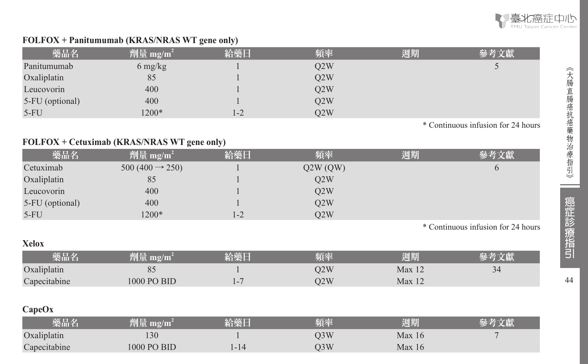

#### **FOLFOX + Panitumumab (KRAS/NRAS WT gene only)**

| 藥品名             | <sup>"</sup> 劑量 mg/m <sup>2</sup> | 給藥日 | 頻率  | 週期 | 參考文獻 |
|-----------------|-----------------------------------|-----|-----|----|------|
| Panitumumab     | $6 \frac{\text{mg}}{\text{kg}}$   |     | Q2W |    |      |
| Oxaliplatin     | 85                                |     | O2W |    |      |
| Leucovorin      | 400                               |     | O2W |    |      |
| 5-FU (optional) | 400                               |     | O2W |    |      |
| $5-FU$          | $1200*$                           | 1-2 | O2W |    |      |

\* Continuous infusion for 24 hours

#### **FOLFOX + Cetuximab (KRAS/NRAS WT gene only)**

| 藥品名             | 劑量 mg/m <sup>2</sup>       | 給藥日     | 頻率      | 週期 | 參考文獻 |
|-----------------|----------------------------|---------|---------|----|------|
| Cetuximab       | $500(400 \rightarrow 250)$ |         | Q2W(QW) |    |      |
| Oxaliplatin     | 85                         |         | O2W     |    |      |
| Leucovorin      | 400                        |         | O2W     |    |      |
| 5-FU (optional) | 400                        |         | O2W     |    |      |
| $5-FU$          | 1200*                      | $1 - 2$ | O2W     |    |      |

\* Continuous infusion for 24 hours

| Xelox        |                      |     |     |                   |    |
|--------------|----------------------|-----|-----|-------------------|----|
| 藥品名          | 劑量 mg/m <sup>i</sup> | 給继日 | 頻率  | 週期                |    |
| Oxaliplatin  |                      |     | 02W | Max <sub>12</sub> | 34 |
| Capecitabine | 1000 PO BID          | ı – | D2W | Max <sub>12</sub> |    |

# **CapeOx**

| 藥品名          | 劑量 mg/m <sup>2</sup> | 給藥日   | 頻率  | 週期     |  |
|--------------|----------------------|-------|-----|--------|--|
| Oxaliplatin  | 30                   |       | )3W | Max 16 |  |
| Capecitabine | 1000 PO BID          | $-14$ | J3W | Max 16 |  |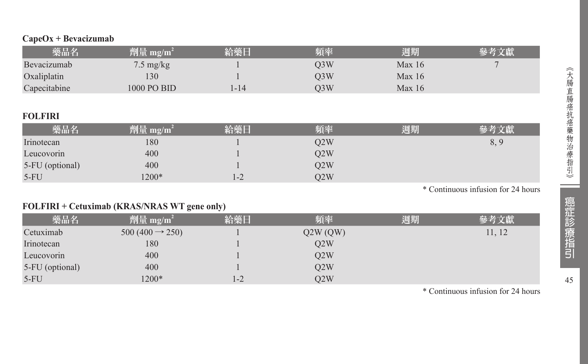|  | $CapeOx + Bevacizumab$ |
|--|------------------------|
|--|------------------------|

| 藥品名          | 劑量 mg/m <sup>2</sup> | 給藥日  | 頻率  | 週期     | 參考文獻 |
|--------------|----------------------|------|-----|--------|------|
| Bevacizumab  | $7.5 \text{ mg/kg}$  |      | D3W | Max 16 |      |
| Oxaliplatin  | 130                  |      | O3W | Max 16 |      |
| Capecitabine | 1000 PO BID          | l-14 | O3W | Max 16 |      |

### **FOLFIRI**

| 藥品名             | 劑量 mg/m <sup>2</sup> | 給藥日               | 頻率  | 週期 | 文獻<br>桑老 |
|-----------------|----------------------|-------------------|-----|----|----------|
| Irinotecan      | 180                  |                   | O2W |    | 8.9      |
| Leucovorin      | 400                  |                   | O2W |    |          |
| 5-FU (optional) | 400                  |                   | O2W |    |          |
| $5-FU$          | $1200*$              | $\bigcap$<br>$-2$ | O2W |    |          |

\* Continuous infusion for 24 hours

# **FOLFIRI + Cetuximab (KRAS/NRAS WT gene only)**

| 藥品名             | 劑量 mg/m <sup>2</sup>        | 給藥日 | 頻率      | 週期 | 參考文獻   |
|-----------------|-----------------------------|-----|---------|----|--------|
| Cetuximab       | $500 (400 \rightarrow 250)$ |     | Q2W(QW) |    | 11, 12 |
| Irinotecan      | 180                         |     | O2W     |    |        |
| Leucovorin      | 400                         |     | O2W     |    |        |
| 5-FU (optional) | 400                         |     | O2W     |    |        |
| $5-FU$          | 1200*                       | 1-2 | O2W     |    |        |

\* Continuous infusion for 24 hours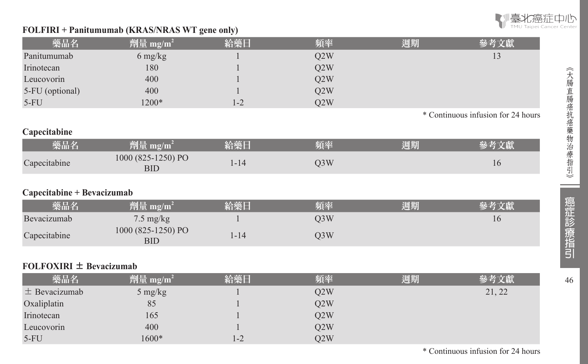

46︽大腸直腸癌抗癌藥物治療指引︾

癌症診療指引

46

《大腸直腸癌抗癌藥物治療指引》

### **FOLFIRI + Panitumumab (KRAS/NRAS WT gene only)**

5-FU 1600\* 1-2 Q2W

|                             |                                  | $\cdot$  |                  |    |                                    |
|-----------------------------|----------------------------------|----------|------------------|----|------------------------------------|
| 藥品名                         | 劑量 mg/m <sup>2</sup>             | 給藥日      | 頻率               | 週期 | 參考文獻                               |
| Panitumumab                 | 6 mg/kg                          |          | Q2W              |    | 13                                 |
| Irinotecan                  | 180                              |          | Q2W              |    |                                    |
| Leucovorin                  | 400                              |          | Q2W              |    |                                    |
| 5-FU (optional)             | 400                              |          | Q2W              |    |                                    |
| $5-FU$                      | 1200*                            | $1 - 2$  | Q2W              |    |                                    |
|                             |                                  |          |                  |    | * Continuous infusion for 24 hours |
| Capecitabine                |                                  |          |                  |    |                                    |
| 藥品名                         | 劑量 mg/m <sup>2</sup>             | 給藥日      | 頻率               | 週期 | 參考文獻                               |
| Capecitabine                | 1000 (825-1250) PO<br><b>BID</b> | $1 - 14$ | Q3W              |    | 16                                 |
| Capecitabine + Bevacizumab  |                                  |          |                  |    |                                    |
| 藥品名                         | 劑量 mg/m <sup>2</sup>             | 給藥日      | 頻率               | 週期 | 參考文獻                               |
| Bevacizumab                 | $7.5 \text{ mg/kg}$              |          | Q3W              |    | 16                                 |
| Capecitabine                | 1000 (825-1250) PO<br><b>BID</b> | $1 - 14$ | Q3W              |    |                                    |
|                             |                                  |          |                  |    |                                    |
| FOLFOXIRI $\pm$ Bevacizumab |                                  |          |                  |    |                                    |
| 藥品名                         | 劑量 mg/m <sup>2</sup>             | 給藥日      | 頻率               | 週期 | 參考文獻                               |
| $\pm$ Bevacizumab           | 5 mg/kg                          |          | Q2W              |    | 21, 22                             |
| Oxaliplatin                 | 85                               |          | Q2W              |    |                                    |
| Irinotecan                  | 165                              |          | Q <sub>2</sub> W |    |                                    |
| Leucovorin                  | 400                              |          | Q <sub>2</sub> W |    |                                    |

\* Continuous infusion for 24 hours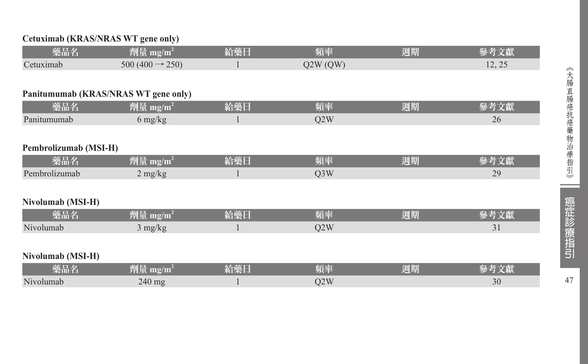### **Cetuximab (KRAS/NRAS WT gene only)**

| 藥品名                   | 劑量 mg/m <sup>2</sup>                 | 給藥日 | 頻率               | 週期 | 參考文獻   |
|-----------------------|--------------------------------------|-----|------------------|----|--------|
| Cetuximab             | 500 (400 $\rightarrow$ 250)          |     | Q2W(QW)          |    | 12, 25 |
|                       |                                      |     |                  |    |        |
|                       | Panitumumab (KRAS/NRAS WT gene only) |     |                  |    |        |
| 藥品名                   | 劑量 mg/m <sup>2</sup>                 | 給藥日 | 頻率               | 週期 | 參考文獻   |
| Panitumumab           | $6 \frac{\text{mg}}{\text{kg}}$      |     | Q2W              |    | 26     |
|                       |                                      |     |                  |    |        |
| Pembrolizumab (MSI-H) |                                      |     |                  |    |        |
| 藥品名                   | 劑量 mg/m <sup>2</sup>                 | 給藥日 | 頻率               | 週期 | 參考文獻   |
| Pembrolizumab         | $2$ mg/kg                            |     | Q <sub>3</sub> W |    | 29     |
|                       |                                      |     |                  |    |        |
| Nivolumab (MSI-H)     |                                      |     |                  |    |        |
| 藥品名                   | 劑量 mg/m <sup>2</sup>                 | 給藥日 | 頻率               | 週期 | 參考文獻   |
| Nivolumab             | $3 \text{ mg/kg}$                    |     | Q2W              |    | 31     |
|                       |                                      |     |                  |    |        |
| Nivolumab (MSI-H)     |                                      |     |                  |    |        |
| 藥品名                   | 劑量 mg/m <sup>2</sup>                 | 給藥日 | 頻率               | 週期 | 參考文獻   |
| Nivolumab             | $240$ mg                             |     | Q2W              |    | 30     |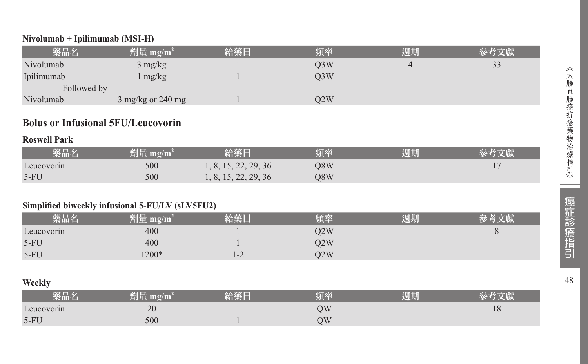#### **Nivolumab + Ipilimumab (MSI-H)**

| 藥品名         | 劑量 mg/m <sup>2</sup>        | 給藥日 | 頻率  | 週期 | 參考文獻                |
|-------------|-----------------------------|-----|-----|----|---------------------|
| Nivolumab   | $3 \text{ mg/kg}$           |     | Q3W |    | $\mathcal{L}$<br>33 |
| Ipilimumab  | mg/kg                       |     | Q3W |    |                     |
| Followed by |                             |     |     |    |                     |
| Nivolumab   | $3 \text{ mg/kg}$ or 240 mg |     | O2W |    |                     |

# **Bolus or Infusional 5FU/Leucovorin**

#### **Roswell Park**

| 藥品名        | 劑量 mg/m $^{2}$ | 給藥日                  | 頻率  | 週期 |  |
|------------|----------------|----------------------|-----|----|--|
| Leucovorin | 500            | 1, 8, 15, 22, 29, 36 | O8W |    |  |
| $5-FU$     | 500            | 1, 8, 15, 22, 29, 36 | O8W |    |  |

#### **Simplified biweekly infusional 5-FU/LV (sLV5FU2)**

| 藥品名        | 劑量<br>mg/m | 2个站厂<br>ロ笑し              | 頊率  | 週期 |  |
|------------|------------|--------------------------|-----|----|--|
| Leucovorin | 400        |                          | 02W |    |  |
| $5-FU$     | 400        |                          | O2W |    |  |
| $5-FU$     | $1200*$    | $\overline{\phantom{0}}$ | O2W |    |  |

#### **Weekly**

| 樂品名        | ш   | 医骨灰质<br>貝谷 | 週期 |    |
|------------|-----|------------|----|----|
| Leucovorin | 20  | NС         |    | 10 |
| $5-FU$     | 500 | ЭW         |    |    |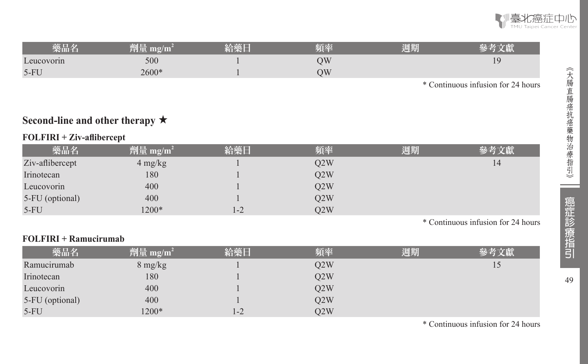

| 藥品名        | 湖口    | 6人去之 11 | 頃率 | 週期 |    |
|------------|-------|---------|----|----|----|
| Leucovorin | 500   |         |    |    | ۱9 |
| $5-FU$     | 2600* |         |    |    |    |

\* Continuous infusion for 24 hours

# **Second-line and other therapy** ★

#### **FOLFIRI + Ziv-aflibercept**

| 藥品名             | 劑量 mg/m <sup>2</sup> | 給藥日     | 頻率  | 週期 | 參考文獻 |
|-----------------|----------------------|---------|-----|----|------|
| Ziv-aflibercept | 4 mg/kg              |         | O2W |    | 14   |
| Irinotecan      | 180                  |         | Q2W |    |      |
| Leucovorin      | 400                  |         | Q2W |    |      |
| 5-FU (optional) | 400                  |         | O2W |    |      |
| $5-FU$          | 1200*                | $1 - 2$ | O2W |    |      |

\* Continuous infusion for 24 hours

#### **FOLFIRI + Ramucirumab**

| 藥品名             | 劑量 mg/m <sup>2</sup> | 給藥日   | 頻率  | 週期 | 參考文獻 |
|-----------------|----------------------|-------|-----|----|------|
| Ramucirumab     | 8 mg/kg              |       | O2W |    | 15   |
| Irinotecan      | 180                  |       | O2W |    |      |
| Leucovorin      | 400                  |       | Q2W |    |      |
| 5-FU (optional) | 400                  |       | Q2W |    |      |
| $5-FU$          | 1200*                | $1-2$ | O2W |    |      |

\* Continuous infusion for 24 hours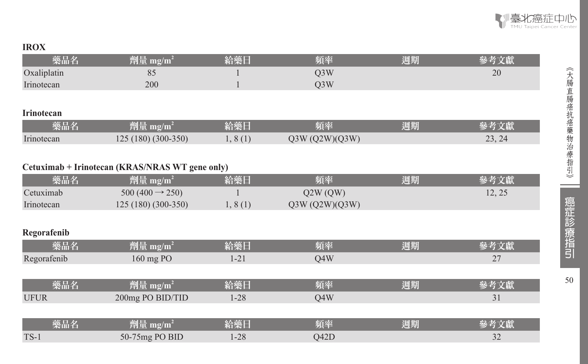### **IROX**

| <b>裘而名</b>  | $m\overline{2}/m$<br><b>Constant of Experimental</b> | 有栄日 | 頻率   | 週期 |    |
|-------------|------------------------------------------------------|-----|------|----|----|
| Oxaliplatin | ΟJ                                                   |     | Q3W  |    | 20 |
| Irinotecan  | 200                                                  |     | 13 W |    |    |

### **Irinotecan**

| 藥品名               | mg/m<br>TI LIB         | 給藥日                                       | 陌來<br>-85.99      | 1772145<br>週期 |                                           |
|-------------------|------------------------|-------------------------------------------|-------------------|---------------|-------------------------------------------|
| $-$<br>Irinotecan | $(180)(300-350)$<br>25 | (1)<br>$\sim$<br>$\mathbf{1}$<br>$\cdots$ | (O2W)(O3W)<br>J3W |               | $\mathbf{\hat{a}}$<br>$\bigcap$<br>23, 24 |

# **Cetuximab + Irinotecan (KRAS/NRAS WT gene only)**

| 藥品名         | 劑量 mg/m <sup>2</sup>                         | 給藥日      | 頻率             | 週期 | 參考文獻   |
|-------------|----------------------------------------------|----------|----------------|----|--------|
| Cetuximab   | 500 (400 $\rightarrow$ 250)                  |          | Q2W(QW)        |    | 12, 25 |
| Irinotecan  | 125 (180) (300-350)                          | 1, 8(1)  | Q3W (Q2W)(Q3W) |    |        |
|             |                                              |          |                |    |        |
| Regorafenib |                                              |          |                |    |        |
| 藥品名         | $\left  \hat{p} \right $ 量 mg/m <sup>2</sup> | 給藥日      | 頻率             | 週期 | 參考文獻   |
| Regorafenib | $160$ mg PO                                  | $1 - 21$ | O4W            |    | 27     |
|             |                                              |          |                |    |        |
| 藥品名         | 劑量 mg/m <sup>2</sup>                         | 給藥日      | 頻率             | 週期 | 參考文獻   |
| <b>UFUR</b> | 200mg PO BID/TID                             | $1 - 28$ | O4W            |    | 31     |
|             |                                              |          |                |    |        |
| 藥品名         | 劑量 mg/m <sup>2</sup>                         | 給藥日      | 頻率             | 週期 | 參考文獻   |
| $TS-1$      | 50-75mg PO BID                               | $1 - 28$ | O42D           |    | 32     |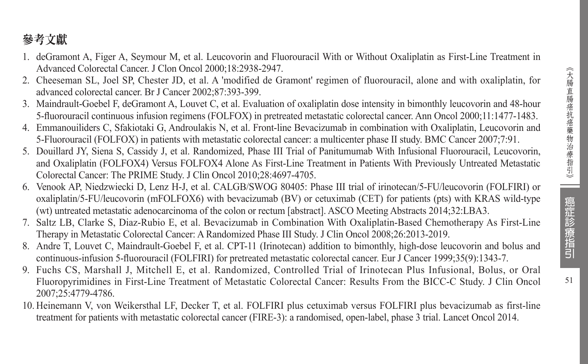# 參考文獻

- 1. deGramont A, Figer A, Seymour M, et al. Leucovorin and Fluorouracil With or Without Oxaliplatin as First-Line Treatment in Advanced Colorectal Cancer. J Clon Oncol 2000;18:2938-2947.
- 2. Cheeseman SL, Joel SP, Chester JD, et al. A 'modified de Gramont' regimen of fluorouracil, alone and with oxaliplatin, for advanced colorectal cancer. Br J Cancer 2002;87:393-399.
- 3. Maindrault-Goebel F, deGramont A, Louvet C, et al. Evaluation of oxaliplatin dose intensity in bimonthly leucovorin and 48-hour 5-fluorouracil continuous infusion regimens (FOLFOX) in pretreated metastatic colorectal cancer. Ann Oncol 2000;11:1477-1483.
- 4. Emmanouiliders C, Sfakiotaki G, Androulakis N, et al. Front-line Bevacizumab in combination with Oxaliplatin, Leucovorin and 5-Fluorouracil (FOLFOX) in patients with metastatic colorectal cancer: a multicenter phase II study. BMC Cancer 2007;7:91.
- 5. Douillard JY, Siena S, Cassidy J, et al. Randomized, Phase III Trial of Panitumumab With Infusional Fluorouracil, Leucovorin, and Oxaliplatin (FOLFOX4) Versus FOLFOX4 Alone As First-Line Treatment in Patients With Previously Untreated Metastatic Colorectal Cancer: The PRIME Study. J Clin Oncol 2010;28:4697-4705.
- 6. Venook AP, Niedzwiecki D, Lenz H-J, et al. CALGB/SWOG 80405: Phase III trial of irinotecan/5-FU/leucovorin (FOLFIRI) or oxaliplatin/5-FU/leucovorin (mFOLFOX6) with bevacizumab (BV) or cetuximab (CET) for patients (pts) with KRAS wild-type (wt) untreated metastatic adenocarcinoma of the colon or rectum [abstract]. ASCO Meeting Abstracts 2014;32:LBA3.
- 7. Saltz LB, Clarke S, Diaz-Rubio E, et al. Bevacizumab in Combination With Oxaliplatin-Based Chemotherapy As First-Line Therapy in Metastatic Colorectal Cancer: A Randomized Phase III Study. J Clin Oncol 2008;26:2013-2019.
- 8. Andre T, Louvet C, Maindrault-Goebel F, et al. CPT-11 (Irinotecan) addition to bimonthly, high-dose leucovorin and bolus and continuous-infusion 5-fluorouracil (FOLFIRI) for pretreated metastatic colorectal cancer. Eur J Cancer 1999;35(9):1343-7.
- 9. Fuchs CS, Marshall J, Mitchell E, et al. Randomized, Controlled Trial of Irinotecan Plus Infusional, Bolus, or Oral Fluoropyrimidines in First-Line Treatment of Metastatic Colorectal Cancer: Results From the BICC-C Study. J Clin Oncol 2007;25:4779-4786.
- 10. Heinemann V, von Weikersthal LF, Decker T, et al. FOLFIRI plus cetuximab versus FOLFIRI plus bevacizumab as first-line treatment for patients with metastatic colorectal cancer (FIRE-3): a randomised, open-label, phase 3 trial. Lancet Oncol 2014.

癌症診療指引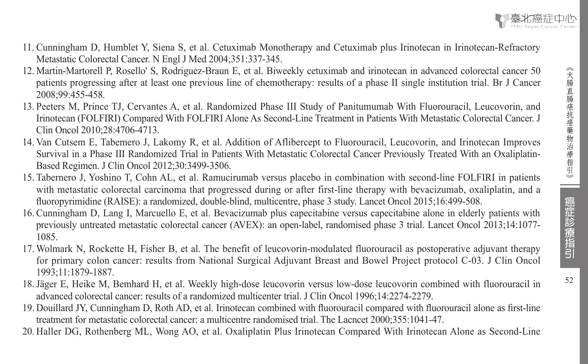癌症診療指引



- 11. Cunningham D, Humblet Y, Siena S, et al. Cetuximab Monotherapy and Cetuximab plus Irinotecan in Irinotecan-Refractory Metastatic Colorectal Cancer. N Engl J Med 2004;351:337-345.
- 12. Martin-Martorell P, Rosello' S, Rodriguez-Braun E, et al. Biweekly cetuximab and irinotecan in advanced colorectal cancer 50 patients progressing after at least one previous line of chemotherapy: results of a phase II single institution trial. Br J Cancer 2008;99:455-458.
- 13. Peeters M, Prince TJ, Cervantes A, et al. Randomized Phase III Study of Panitumumab With Fluorouracil, Leucovorin, and Irinotecan (FOLFIRI) Compared With FOLFIRI Alone As Second-Line Treatment in Patients With Metastatic Colorectal Cancer. J Clin Oncol 2010;28:4706-4713.
- 14. Van Cutsem E, Tabemero J, Lakomy R, et al. Addition of Aflibercept to Fluorouracil, Leucovorin, and Irinotecan Improves Survival in a Phase III Randomized Trial in Patients With Metastatic Colorectal Cancer Previously Treated With an Oxaliplatin-Based Regimen. J Clin Oncol 2012;30:3499-3506.
- 15. Tabernero J, Yoshino T, Cohn AL, et al. Ramucirumab versus placebo in combination with second-line FOLFIRI in patients with metastatic colorectal carcinoma that progressed during or after first-line therapy with bevacizumab, oxaliplatin, and a fluoropyrimidine (RAISE): a randomized, double-blind, multicentre, phase 3 study. Lancet Oncol 2015;16:499-508.
- 16. Cunningham D, Lang I, Marcuello E, et al. Bevacizumab plus capecitabine versus capecitabine alone in elderly patients with previously untreated metastatic colorectal cancer (AVEX): an open-label, randomised phase 3 trial. Lancet Oncol 2013;14:1077- 1085.
- 17. Wolmark N, Rockette H, Fisher B, et al. The benefit of leucovorin-modulated fluorouracil as postoperative adjuvant therapy for primary colon cancer: results from National Surgical Adjuvant Breast and Bowel Project protocol C-03. J Clin Oncol 1993;11:1879-1887.
- 18.Jäger E, Heike M, Bemhard H, et al. Weekly high-dose leucovorin versus low-dose leucovorin combined with fluorouracil in advanced colorectal cancer: results of a randomized multicenter trial. J Clin Oncol 1996;14:2274-2279.
- 19. Douillard JY, Cunningham D, Roth AD, et al. Irinotecan combined with fluorouracil compared with fluorouracil alone as first-line treatment for metastatic colorectal cancer: a multicentre randomised trial. The Lacncet 2000;355:1041-47.
- 20. Haller DG, Rothenberg ML, Wong AO, et al. Oxaliplatin Plus Irinotecan Compared With Irinotecan Alone as Second-Line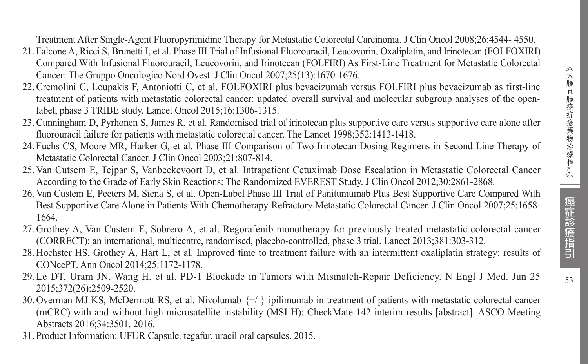Treatment After Single-Agent Fluoropyrimidine Therapy for Metastatic Colorectal Carcinoma. J Clin Oncol 2008;26:4544- 4550.

- 21. Falcone A, Ricci S, Brunetti I, et al. Phase III Trial of Infusional Fluorouracil, Leucovorin, Oxaliplatin, and Irinotecan (FOLFOXIRI) Compared With Infusional Fluorouracil, Leucovorin, and Irinotecan (FOLFIRI) As First-Line Treatment for Metastatic Colorectal Cancer: The Gruppo Oncologico Nord Ovest. J Clin Oncol 2007;25(13):1670-1676.
- 22. Cremolini C, Loupakis F, Antoniotti C, et al. FOLFOXIRI plus bevacizumab versus FOLFIRI plus bevacizumab as first-line treatment of patients with metastatic colorectal cancer: updated overall survival and molecular subgroup analyses of the openlabel, phase 3 TRIBE study. Lancet Oncol 2015;16:1306-1315.
- 23. Cunningham D, Pyrhonen S, James R, et al. Randomised trial of irinotecan plus supportive care versus supportive care alone after fluorouracil failure for patients with metastatic colorectal cancer. The Lancet 1998;352:1413-1418.
- 24. Fuchs CS, Moore MR, Harker G, et al. Phase III Comparison of Two Irinotecan Dosing Regimens in Second-Line Therapy of Metastatic Colorectal Cancer. J Clin Oncol 2003;21:807-814.
- 25. Van Cutsem E, Tejpar S, Vanbeckevoort D, et al. Intrapatient Cetuximab Dose Escalation in Metastatic Colorectal Cancer According to the Grade of Early Skin Reactions: The Randomized EVEREST Study. J Clin Oncol 2012;30:2861-2868.
- 26. Van Custem E, Peeters M, Siena S, et al. Open-Label Phase III Trial of Panitumumab Plus Best Supportive Care Compared With Best Supportive Care Alone in Patients With Chemotherapy-Refractory Metastatic Colorectal Cancer. J Clin Oncol 2007;25:1658- 1664.
- 27. Grothey A, Van Custem E, Sobrero A, et al. Regorafenib monotherapy for previously treated metastatic colorectal cancer (CORRECT): an international, multicentre, randomised, placebo-controlled, phase 3 trial. Lancet 2013;381:303-312.
- 28. Hochster HS, Grothey A, Hart L, et al. Improved time to treatment failure with an intermittent oxaliplatin strategy: results of CONcePT. Ann Oncol 2014;25:1172-1178.
- 29. Le DT, Uram JN, Wang H, et al. PD-1 Blockade in Tumors with Mismatch-Repair Deficiency. N Engl J Med. Jun 25 2015;372(26):2509-2520.
- 30. Overman MJ KS, McDermott RS, et al. Nivolumab {+/-} ipilimumab in treatment of patients with metastatic colorectal cancer (mCRC) with and without high microsatellite instability (MSI-H): CheckMate-142 interim results [abstract]. ASCO Meeting Abstracts 2016;34:3501. 2016.
- 31. Product Information: UFUR Capsule. tegafur, uracil oral capsules. 2015.

癌症診療指引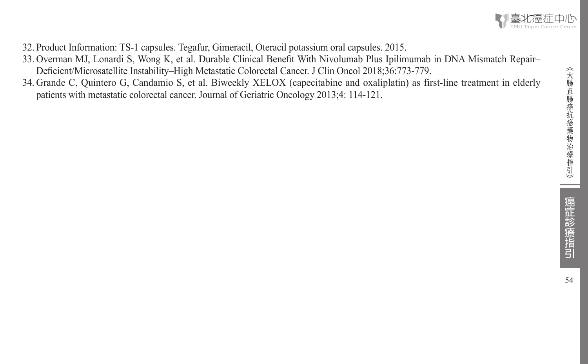

32. Product Information: TS-1 capsules. Tegafur, Gimeracil, Oteracil potassium oral capsules. 2015.

- 33. Overman MJ, Lonardi S, Wong K, et al. Durable Clinical Benefit With Nivolumab Plus Ipilimumab in DNA Mismatch Repair– Deficient/Microsatellite Instability–High Metastatic Colorectal Cancer. J Clin Oncol 2018;36:773-779.
- 34. Grande C, Quintero G, Candamio S, et al. Biweekly XELOX (capecitabine and oxaliplatin) as first-line treatment in elderly patients with metastatic colorectal cancer. Journal of Geriatric Oncology 2013;4: 114-121.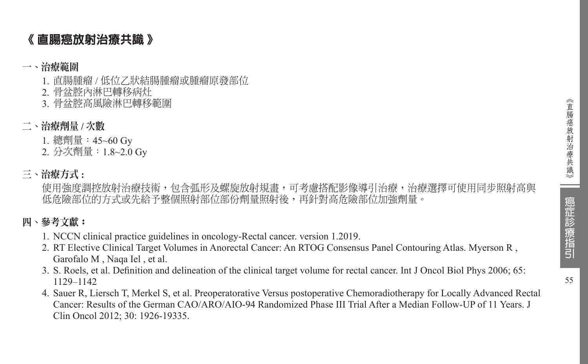# 《 直腸癌放射治療共識 》

### 一、治療範圍

- 1. 直腸腫瘤 / 低位乙狀結腸腫瘤或腫瘤原發部位
- 2. 骨盆腔內淋巴轉移病灶
- 3. 骨盆腔高風險淋巴轉移範圍
- 二、治療劑量 **/** 次數
	- 1. 總劑量:45~60 Gy
	- 2. 分次劑量:1.8~2.0 Gy

# 三、治療方式 **:**

使用強度調控放射治療技術,包含弧形及螺旋放射規書,可考慮搭配影像導引治療,治療選擇可使用同步照射高與 低危險部位的方式或先給予整個照射部位部份劑量照射後,再針對高危險部位加強劑量。

# 四、參考文獻:

- 1. NCCN clinical practice guidelines in oncology-Rectal cancer. version 1.2019.
- 2. RT Elective Clinical Target Volumes in Anorectal Cancer: An RTOG Consensus Panel Contouring Atlas. Myerson R , Garofalo M , Naqa Iel , et al.
- 3. S. Roels, et al. Definition and delineation of the clinical target volume for rectal cancer. Int J Oncol Biol Phys 2006; 65: 1129–1142
- 4. Sauer R, Liersch T, Merkel S, et al. Preoperatorative Versus postoperative Chemoradiotherapy for Locally Advanced Rectal Cancer: Results of the German CAO/ARO/AIO-94 Randomized Phase III Trial After a Median Follow-UP of 11 Years. J Clin Oncol 2012; 30: 1926-19335.